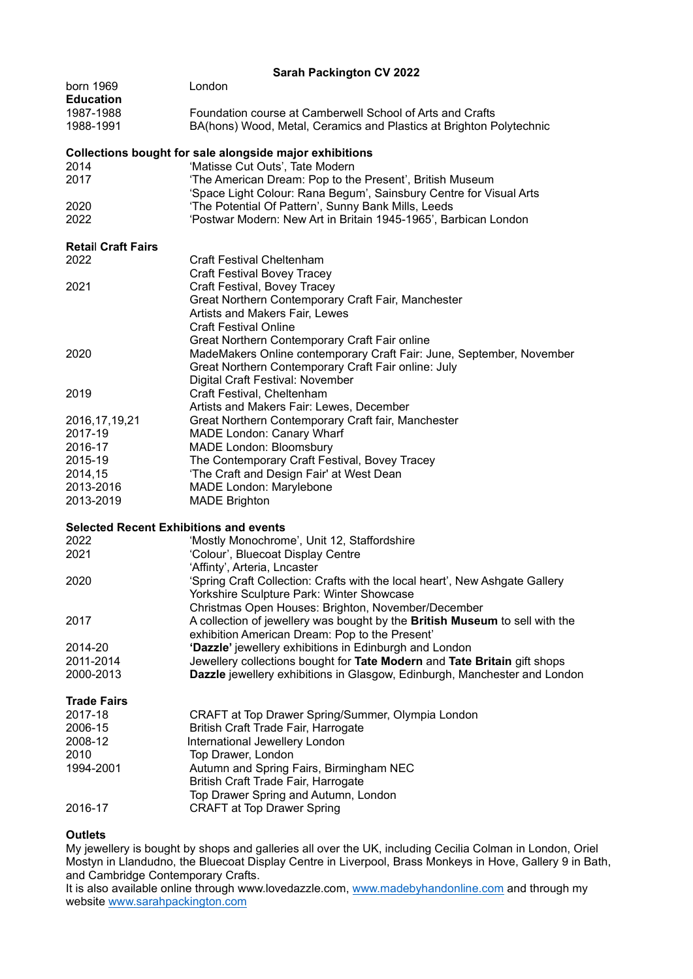| <b>Sarah Packington CV 2022</b>               |                                                                                                                                                                                     |
|-----------------------------------------------|-------------------------------------------------------------------------------------------------------------------------------------------------------------------------------------|
| born 1969<br><b>Education</b>                 | London                                                                                                                                                                              |
| 1987-1988<br>1988-1991                        | Foundation course at Camberwell School of Arts and Crafts<br>BA(hons) Wood, Metal, Ceramics and Plastics at Brighton Polytechnic                                                    |
|                                               | Collections bought for sale alongside major exhibitions                                                                                                                             |
| 2014<br>2017                                  | 'Matisse Cut Outs', Tate Modern<br>'The American Dream: Pop to the Present', British Museum<br>'Space Light Colour: Rana Begum', Sainsbury Centre for Visual Arts                   |
| 2020<br>2022                                  | 'The Potential Of Pattern', Sunny Bank Mills, Leeds<br>'Postwar Modern: New Art in Britain 1945-1965', Barbican London                                                              |
| <b>Retail Craft Fairs</b><br>2022             | Craft Festival Cheltenham                                                                                                                                                           |
| 2021                                          | <b>Craft Festival Bovey Tracey</b><br>Craft Festival, Bovey Tracey<br>Great Northern Contemporary Craft Fair, Manchester                                                            |
|                                               | Artists and Makers Fair, Lewes<br><b>Craft Festival Online</b><br>Great Northern Contemporary Craft Fair online                                                                     |
| 2020                                          | MadeMakers Online contemporary Craft Fair: June, September, November<br>Great Northern Contemporary Craft Fair online: July<br>Digital Craft Festival: November                     |
| 2019                                          | Craft Festival, Cheltenham<br>Artists and Makers Fair: Lewes, December                                                                                                              |
| 2016, 17, 19, 21<br>2017-19                   | Great Northern Contemporary Craft fair, Manchester<br><b>MADE London: Canary Wharf</b>                                                                                              |
| 2016-17<br>2015-19                            | <b>MADE London: Bloomsbury</b><br>The Contemporary Craft Festival, Bovey Tracey                                                                                                     |
| 2014,15                                       | 'The Craft and Design Fair' at West Dean                                                                                                                                            |
| 2013-2016<br>2013-2019                        | <b>MADE London: Marylebone</b><br><b>MADE Brighton</b>                                                                                                                              |
| <b>Selected Recent Exhibitions and events</b> |                                                                                                                                                                                     |
| 2022<br>2021                                  | 'Mostly Monochrome', Unit 12, Staffordshire<br>'Colour', Bluecoat Display Centre<br>'Affinty', Arteria, Lncaster                                                                    |
| 2020                                          | 'Spring Craft Collection: Crafts with the local heart', New Ashgate Gallery<br>Yorkshire Sculpture Park: Winter Showcase                                                            |
| 2017                                          | Christmas Open Houses: Brighton, November/December<br>A collection of jewellery was bought by the British Museum to sell with the<br>exhibition American Dream: Pop to the Present' |
| 2014-20                                       | 'Dazzle' jewellery exhibitions in Edinburgh and London                                                                                                                              |
| 2011-2014<br>2000-2013                        | Jewellery collections bought for Tate Modern and Tate Britain gift shops<br>Dazzle jewellery exhibitions in Glasgow, Edinburgh, Manchester and London                               |
| <b>Trade Fairs</b>                            |                                                                                                                                                                                     |
| 2017-18                                       | CRAFT at Top Drawer Spring/Summer, Olympia London                                                                                                                                   |
| 2006-15<br>2008-12                            | British Craft Trade Fair, Harrogate<br>International Jewellery London                                                                                                               |
| 2010                                          | Top Drawer, London                                                                                                                                                                  |
| 1994-2001                                     | Autumn and Spring Fairs, Birmingham NEC<br>British Craft Trade Fair, Harrogate                                                                                                      |
| 2016-17                                       | Top Drawer Spring and Autumn, London<br><b>CRAFT at Top Drawer Spring</b>                                                                                                           |

## **Outlets**

My jewellery is bought by shops and galleries all over the UK, including Cecilia Colman in London, Oriel Mostyn in Llandudno, the Bluecoat Display Centre in Liverpool, Brass Monkeys in Hove, Gallery 9 in Bath, and Cambridge Contemporary Crafts.

It is also available online through [www.lovedazzle.com,](http://www.lovedazzle.com/) [www.madebyhandonline.com](http://www.madebyhandonline.com/) and through my website [www.sarahpackington.com](http://www.sarahpackington.com/)